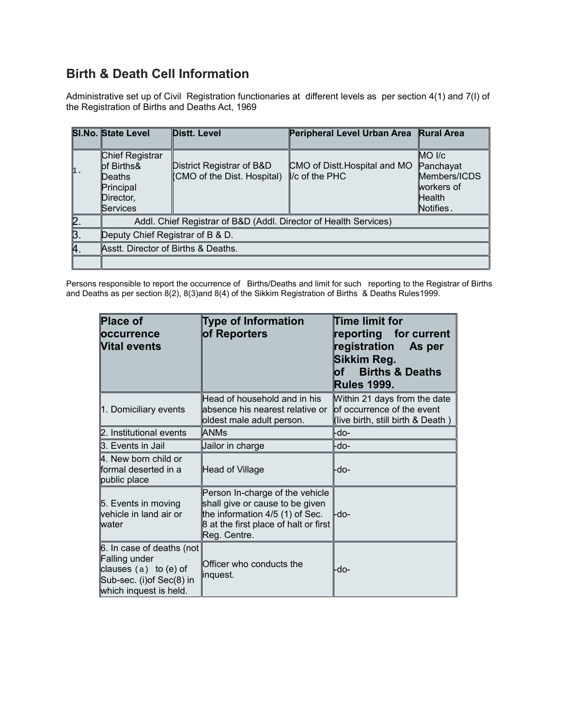## **Birth & Death Cell Information**

Administrative set up of Civil Registration functionaries at different levels as per section 4(1) and 7(I) of the Registration of Births and Deaths Act, 1969

|   | <b>SI.No. State Level</b>                                                     | Distt. Level                                            | Peripheral Level Urban Area Rural Area          |                                                                                     |  |
|---|-------------------------------------------------------------------------------|---------------------------------------------------------|-------------------------------------------------|-------------------------------------------------------------------------------------|--|
|   | Chief Registrar<br>of Births&<br>Deaths<br>Principal<br>Director,<br>Services | District Registrar of B&D<br>CMO of the Dist. Hospital) | CMO of Distt. Hospital and MO<br>I/c of the PHC | $MO$ $I/c$<br>Panchayat<br>Members/ICDS<br>workers of<br><b>Health</b><br>Notifies. |  |
|   | Addl. Chief Registrar of B&D (Addl. Director of Health Services)              |                                                         |                                                 |                                                                                     |  |
| B | Deputy Chief Registrar of B & D.                                              |                                                         |                                                 |                                                                                     |  |
|   | Asstt. Director of Births & Deaths.                                           |                                                         |                                                 |                                                                                     |  |
|   |                                                                               |                                                         |                                                 |                                                                                     |  |

Persons responsible to report the occurrence of Births/Deaths and limit for such reporting to the Registrar of Births and Deaths as per section 8(2), 8(3)and 8(4) of the Sikkim Registration of Births & Deaths Rules1999.

| <b>Place of</b><br><b>Occurrence</b><br><b>Vital events</b>                                                                    | <b>Type of Information</b><br>of Reporters                                                                                                                     | Time limit for<br>reporting for current<br>registration<br>As per<br>∥Sikkim Reg.<br><b>Births &amp; Deaths</b><br>$\overline{\text{of}}$<br><b>Rules 1999.</b> |
|--------------------------------------------------------------------------------------------------------------------------------|----------------------------------------------------------------------------------------------------------------------------------------------------------------|-----------------------------------------------------------------------------------------------------------------------------------------------------------------|
| 1. Domiciliary events                                                                                                          | Head of household and in his<br>labsence his nearest relative or<br>oldest male adult person.                                                                  | Within 21 days from the date<br>of occurrence of the event<br>(live birth, still birth & Death)                                                                 |
| 2. Institutional events                                                                                                        | <b>ANMs</b>                                                                                                                                                    | -do-                                                                                                                                                            |
| 3. Events in Jail                                                                                                              | Jailor in charge                                                                                                                                               | -do-                                                                                                                                                            |
| 4. New born child or<br>formal deserted in a<br>public place                                                                   | Head of Village                                                                                                                                                | -do-                                                                                                                                                            |
| 5. Events in moving<br>vehicle in land air or<br>lwater                                                                        | Person In-charge of the vehicle<br>shall give or cause to be given<br>the information 4/5 (1) of Sec.<br>8 at the first place of halt or first<br>Reg. Centre. | ⊩do-                                                                                                                                                            |
| 6. In case of deaths (not<br>Falling under<br>clauses $(a)$ to $(e)$ of<br>Sub-sec. (i) of Sec(8) in<br>which inquest is held. | Officer who conducts the<br>inquest.                                                                                                                           | -do-                                                                                                                                                            |